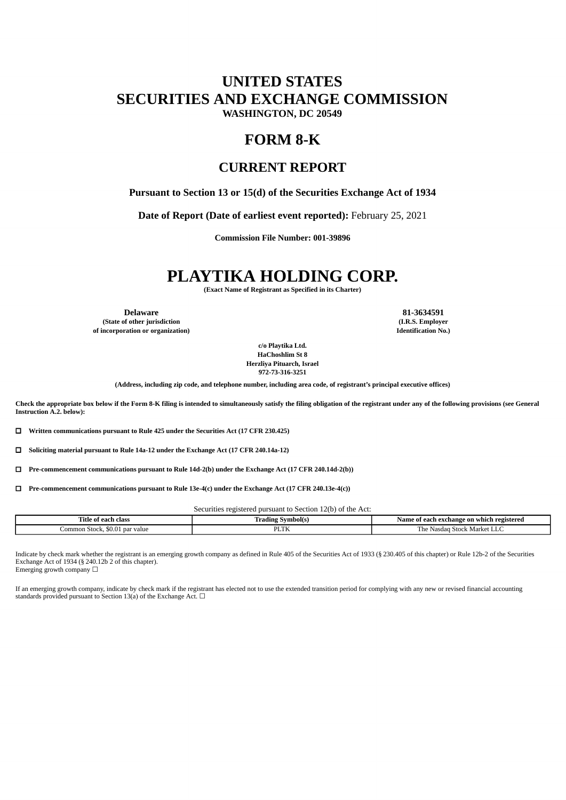# **UNITED STATES SECURITIES AND EXCHANGE COMMISSION**

**WASHINGTON, DC 20549**

## **FORM 8-K**

### **CURRENT REPORT**

**Pursuant to Section 13 or 15(d) of the Securities Exchange Act of 1934**

**Date of Report (Date of earliest event reported):** February 25, 2021

 **Commission File Number: 001-39896**

## **PLAYTIKA HOLDING CORP.**

**(Exact Name of Registrant as Specified in its Charter)**

**Delaware (State of other jurisdiction**

**of incorporation or organization)**

**(I.R.S. Employer Identification No.)**

**81-3634591**

**HaChoshlim St 8 Herzliya Pituarch, Israel 972-73-316-3251**

**c/o Playtika Ltd.**

(Address, including zip code, and telephone number, including area code, of registrant's principal executive offices)

Check the appropriate box below if the Form 8-K filing is intended to simultaneously satisfy the filing obligation of the registrant under any of the following provisions (see General  **Instruction A.2. below):**

☐ **Written communications pursuant to Rule 425 under the Securities Act (17 CFR 230.425)**

☐ **Soliciting material pursuant to Rule 14a-12 under the Exchange Act (17 CFR 240.14a-12)**

☐ **Pre-commencement communications pursuant to Rule 14d-2(b) under the Exchange Act (17 CFR 240.14d-2(b))**

☐ **Pre-commencement communications pursuant to Rule 13e-4(c) under the Exchange Act (17 CFR 240.13e-4(c))**

Securities registered pursuant to Section 12(b) of the Act:

| <b>Title</b><br>ıch class<br>ot eac | Symbol(s.<br>radın m | each exchange on which registered<br>Aame -<br>nt.      |
|-------------------------------------|----------------------|---------------------------------------------------------|
| - Common Stock. .<br>value<br>ाजा   | DI TI<br>.           | : Market LLC<br>Stock.<br>nasaaa<br>1 I I L<br>$\cdots$ |

 Indicate by check mark whether the registrant is an emerging growth company as defined in Rule 405 of the Securities Act of 1933 (§ 230.405 of this chapter) or Rule 12b-2 of the Securities Exchange Act of 1934 (§ 240.12b 2 of this chapter). Emerging growth company ☐

 If an emerging growth company, indicate by check mark if the registrant has elected not to use the extended transition period for complying with any new or revised financial accounting standards provided pursuant to Section 13(a) of the Exchange Act.  $\Box$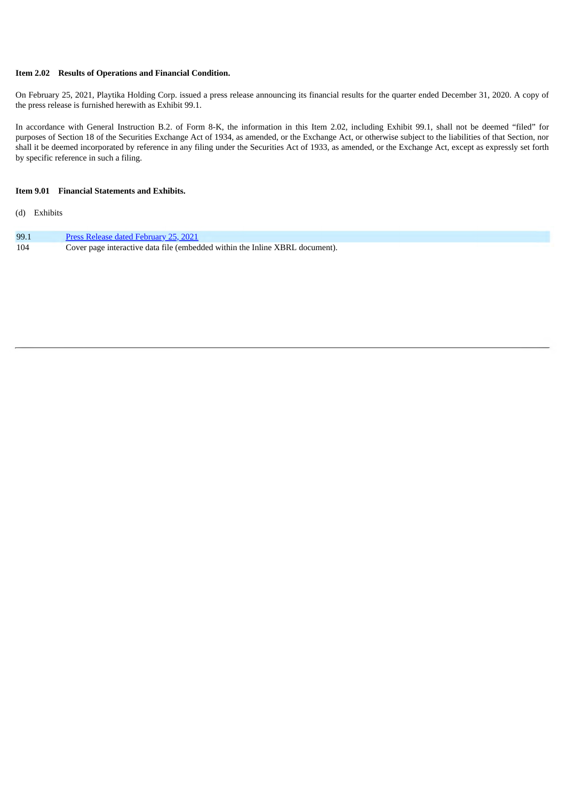#### **Item 2.02 Results of Operations and Financial Condition.**

 On February 25, 2021, Playtika Holding Corp. issued a press release announcing its financial results for the quarter ended December 31, 2020. A copy of the press release is furnished herewith as Exhibit 99.1.

 In accordance with General Instruction B.2. of Form 8-K, the information in this Item 2.02, including Exhibit 99.1, shall not be deemed "filed" for purposes of Section 18 of the Securities Exchange Act of 1934, as amended, or the Exchange Act, or otherwise subject to the liabilities of that Section, nor shall it be deemed incorporated by reference in any filing under the Securities Act of 1933, as amended, or the Exchange Act, except as expressly set forth by specific reference in such a filing.

#### **Item 9.01 Financial Statements and Exhibits.**

(d) Exhibits

| 99.1 | Press Release dated February 25, 2021                                        |
|------|------------------------------------------------------------------------------|
| 104  | Cover page interactive data file (embedded within the Inline XBRL document). |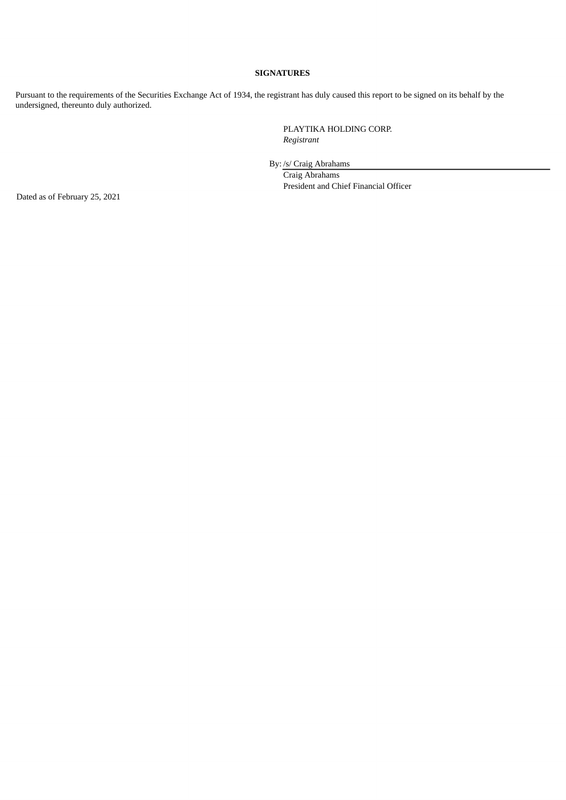### **SIGNATURES**

 Pursuant to the requirements of the Securities Exchange Act of 1934, the registrant has duly caused this report to be signed on its behalf by the undersigned, thereunto duly authorized.

> PLAYTIKA HOLDING CORP. *Registrant*

By: /s/ Craig Abrahams

Craig Abrahams President and Chief Financial Officer

Dated as of February 25, 2021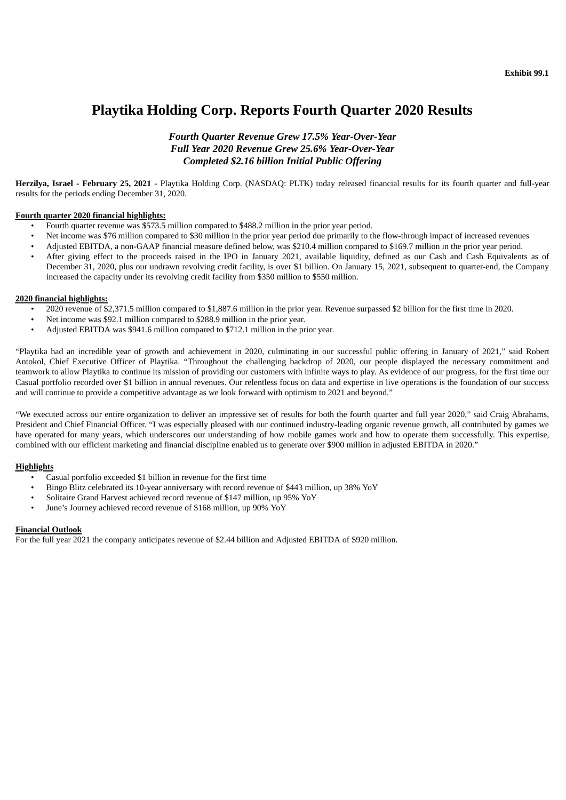## <span id="page-3-0"></span> **Playtika Holding Corp. Reports Fourth Quarter 2020 Results**

*Fourth Quarter Revenue Grew 17.5% Year-Over-Year Full Year 2020 Revenue Grew 25.6% Year-Over-Year Completed \$2.16 billion Initial Public Offering*

 **Herzilya, Israel - February 25, 2021** - Playtika Holding Corp. (NASDAQ: PLTK) today released financial results for its fourth quarter and full-year results for the periods ending December 31, 2020.

#### **Fourth quarter 2020 financial highlights:**

- Fourth quarter revenue was \$573.5 million compared to \$488.2 million in the prior year period.
- Net income was \$76 million compared to \$30 million in the prior year period due primarily to the flow-through impact of increased revenues
- Adjusted EBITDA, a non-GAAP financial measure defined below, was \$210.4 million compared to \$169.7 million in the prior year period.
- • After giving effect to the proceeds raised in the IPO in January 2021, available liquidity, defined as our Cash and Cash Equivalents as of December 31, 2020, plus our undrawn revolving credit facility, is over \$1 billion. On January 15, 2021, subsequent to quarter-end, the Company increased the capacity under its revolving credit facility from \$350 million to \$550 million.

#### **2020 financial highlights:**

- 2020 revenue of \$2,371.5 million compared to \$1,887.6 million in the prior year. Revenue surpassed \$2 billion for the first time in 2020.
- Net income was \$92.1 million compared to \$288.9 million in the prior year.
- Adjusted EBITDA was \$941.6 million compared to \$712.1 million in the prior year.

 "Playtika had an incredible year of growth and achievement in 2020, culminating in our successful public offering in January of 2021," said Robert Antokol, Chief Executive Officer of Playtika. "Throughout the challenging backdrop of 2020, our people displayed the necessary commitment and teamwork to allow Playtika to continue its mission of providing our customers with infinite ways to play. As evidence of our progress, for the first time our Casual portfolio recorded over \$1 billion in annual revenues. Our relentless focus on data and expertise in live operations is the foundation of our success and will continue to provide a competitive advantage as we look forward with optimism to 2021 and beyond."

 "We executed across our entire organization to deliver an impressive set of results for both the fourth quarter and full year 2020," said Craig Abrahams, President and Chief Financial Officer. "I was especially pleased with our continued industry-leading organic revenue growth, all contributed by games we have operated for many years, which underscores our understanding of how mobile games work and how to operate them successfully. This expertise, combined with our efficient marketing and financial discipline enabled us to generate over \$900 million in adjusted EBITDA in 2020."

#### **Highlights**

- Casual portfolio exceeded \$1 billion in revenue for the first time
- Bingo Blitz celebrated its 10-year anniversary with record revenue of \$443 million, up 38% YoY
- Solitaire Grand Harvest achieved record revenue of \$147 million, up 95% YoY
- June's Journey achieved record revenue of \$168 million, up 90% YoY

#### **Financial Outlook**

For the full year 2021 the company anticipates revenue of \$2.44 billion and Adjusted EBITDA of \$920 million.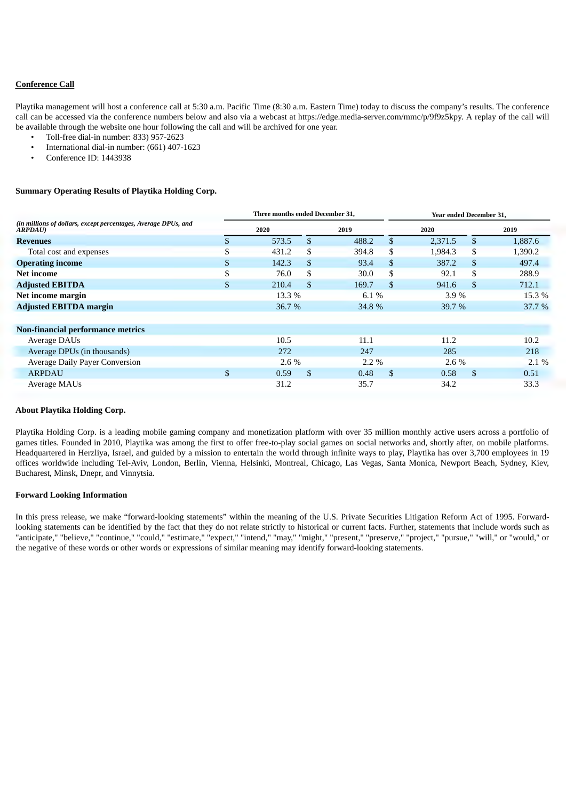#### **Conference Call**

Playtika management will host a conference call at 5:30 a.m. Pacific Time (8:30 a.m. Eastern Time) today to discuss the company's results. The conference call can be accessed via the conference numbers below and also via a webcast at [https://edge.media-server.com/mmc/p/9f9z5kpy.](https://edge.media-server.com/mmc/p/9f9z5kpy) A replay of the call will be available through the website one hour following the call and will be archived for one year.

- Toll-free dial-in number: 833) 957-2623
- International dial-in number: (661) 407-1623
- Conference ID: 1443938

#### **Summary Operating Results of Playtika Holding Corp.**

|                                                                                 |      | Three months ended December 31, |      |         | Year ended December 31, |         |                |         |
|---------------------------------------------------------------------------------|------|---------------------------------|------|---------|-------------------------|---------|----------------|---------|
| (in millions of dollars, except percentages, Average DPUs, and<br><b>ARPDAU</b> | 2020 |                                 | 2019 |         |                         | 2020    | 2019           |         |
| <b>Revenues</b>                                                                 |      | 573.5                           | \$   | 488.2   | \$                      | 2,371.5 | \$             | 1,887.6 |
| Total cost and expenses                                                         |      | 431.2                           | \$.  | 394.8   | \$                      | 1,984.3 | \$             | 1,390.2 |
| <b>Operating income</b>                                                         | \$   | 142.3                           | S    | 93.4    | \$                      | 387.2   | \$             | 497.4   |
| <b>Net income</b>                                                               | \$   | 76.0                            | \$   | 30.0    | \$                      | 92.1    | \$             | 288.9   |
| <b>Adjusted EBITDA</b>                                                          | \$   | 210.4                           | \$   | 169.7   | \$                      | 941.6   | \$             | 712.1   |
| Net income margin                                                               |      | 13.3 %                          |      | 6.1%    |                         | 3.9%    |                | 15.3 %  |
| <b>Adjusted EBITDA margin</b>                                                   |      | 36.7 %                          |      | 34.8 %  |                         | 39.7 %  |                | 37.7 %  |
|                                                                                 |      |                                 |      |         |                         |         |                |         |
| <b>Non-financial performance metrics</b>                                        |      |                                 |      |         |                         |         |                |         |
| Average DAUs                                                                    |      | 10.5                            |      | 11.1    |                         | 11.2    |                | 10.2    |
| Average DPUs (in thousands)                                                     |      | 272                             |      | 247     |                         | 285     |                | 218     |
| Average Daily Payer Conversion                                                  |      | $2.6\%$                         |      | $2.2\%$ |                         | $2.6\%$ |                | 2.1 %   |
| <b>ARPDAU</b>                                                                   | \$   | 0.59                            | \$   | 0.48    | \$                      | 0.58    | $\mathfrak{S}$ | 0.51    |
| Average MAUs                                                                    |      | 31.2                            |      | 35.7    |                         | 34.2    |                | 33.3    |

#### **About Playtika Holding Corp.**

 Playtika Holding Corp. is a leading mobile gaming company and monetization platform with over 35 million monthly active users across a portfolio of games titles. Founded in 2010, Playtika was among the first to offer free-to-play social games on social networks and, shortly after, on mobile platforms. Headquartered in Herzliya, Israel, and guided by a mission to entertain the world through infinite ways to play, Playtika has over 3,700 employees in 19 offices worldwide including Tel-Aviv, London, Berlin, Vienna, Helsinki, Montreal, Chicago, Las Vegas, Santa Monica, Newport Beach, Sydney, Kiev, Bucharest, Minsk, Dnepr, and Vinnytsia.

#### **Forward Looking Information**

 In this press release, we make "forward-looking statements" within the meaning of the U.S. Private Securities Litigation Reform Act of 1995. Forward- looking statements can be identified by the fact that they do not relate strictly to historical or current facts. Further, statements that include words such as "anticipate," "believe," "continue," "could," "estimate," "expect," "intend," "may," "might," "present," "preserve," "project," "pursue," "will," or "would," or the negative of these words or other words or expressions of similar meaning may identify forward-looking statements.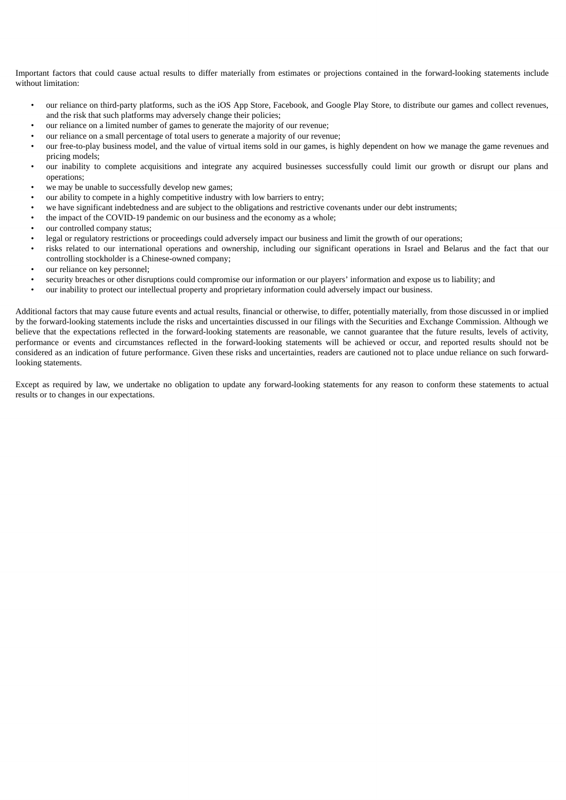Important factors that could cause actual results to differ materially from estimates or projections contained in the forward-looking statements include without limitation:

- • our reliance on third-party platforms, such as the iOS App Store, Facebook, and Google Play Store, to distribute our games and collect revenues, and the risk that such platforms may adversely change their policies;
- our reliance on a limited number of games to generate the majority of our revenue;
- our reliance on a small percentage of total users to generate a majority of our revenue;
- • our free-to-play business model, and the value of virtual items sold in our games, is highly dependent on how we manage the game revenues and pricing models;
- • our inability to complete acquisitions and integrate any acquired businesses successfully could limit our growth or disrupt our plans and operations;
- we may be unable to successfully develop new games;
- our ability to compete in a highly competitive industry with low barriers to entry;
- we have significant indebtedness and are subject to the obligations and restrictive covenants under our debt instruments;
- the impact of the COVID-19 pandemic on our business and the economy as a whole;
- our controlled company status;
- legal or regulatory restrictions or proceedings could adversely impact our business and limit the growth of our operations;
- • risks related to our international operations and ownership, including our significant operations in Israel and Belarus and the fact that our controlling stockholder is a Chinese-owned company;
- our reliance on key personnel;
- security breaches or other disruptions could compromise our information or our players' information and expose us to liability; and
- our inability to protect our intellectual property and proprietary information could adversely impact our business.

 Additional factors that may cause future events and actual results, financial or otherwise, to differ, potentially materially, from those discussed in or implied by the forward-looking statements include the risks and uncertainties discussed in our filings with the Securities and Exchange Commission. Although we believe that the expectations reflected in the forward-looking statements are reasonable, we cannot guarantee that the future results, levels of activity, performance or events and circumstances reflected in the forward-looking statements will be achieved or occur, and reported results should not be considered as an indication of future performance. Given these risks and uncertainties, readers are cautioned not to place undue reliance on such forwardlooking statements.

 Except as required by law, we undertake no obligation to update any forward-looking statements for any reason to conform these statements to actual results or to changes in our expectations.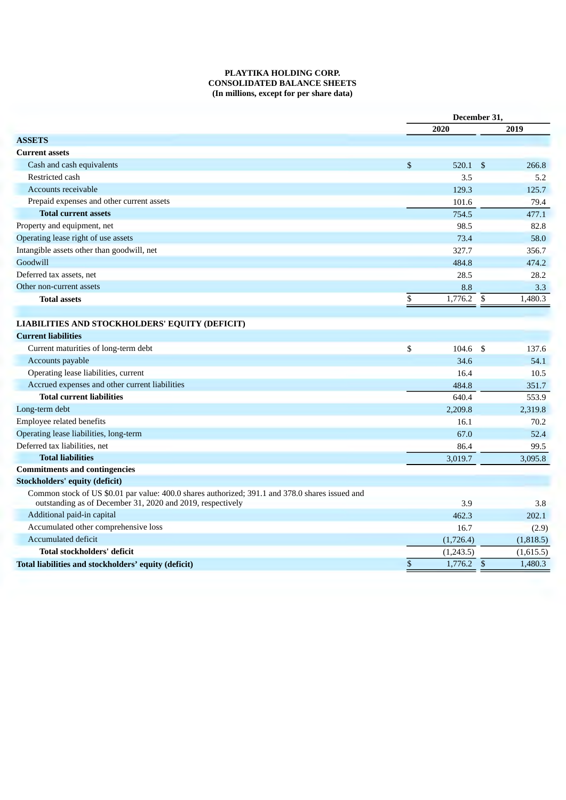#### **PLAYTIKA HOLDING CORP. CONSOLIDATED BALANCE SHEETS (In millions, except for per share data)**

|                                                                                                                                                               | December 31, |            |                           |           |
|---------------------------------------------------------------------------------------------------------------------------------------------------------------|--------------|------------|---------------------------|-----------|
|                                                                                                                                                               |              | 2020       |                           | 2019      |
| <b>ASSETS</b>                                                                                                                                                 |              |            |                           |           |
| <b>Current assets</b>                                                                                                                                         |              |            |                           |           |
| Cash and cash equivalents                                                                                                                                     | \$           | $520.1$ \$ |                           | 266.8     |
| Restricted cash                                                                                                                                               |              | 3.5        |                           | 5.2       |
| Accounts receivable                                                                                                                                           |              | 129.3      |                           | 125.7     |
| Prepaid expenses and other current assets                                                                                                                     |              | 101.6      |                           | 79.4      |
| <b>Total current assets</b>                                                                                                                                   |              | 754.5      |                           | 477.1     |
| Property and equipment, net                                                                                                                                   |              | 98.5       |                           | 82.8      |
| Operating lease right of use assets                                                                                                                           |              | 73.4       |                           | 58.0      |
| Intangible assets other than goodwill, net                                                                                                                    |              | 327.7      |                           | 356.7     |
| Goodwill                                                                                                                                                      |              | 484.8      |                           | 474.2     |
| Deferred tax assets, net                                                                                                                                      |              | 28.5       |                           | 28.2      |
| Other non-current assets                                                                                                                                      |              | 8.8        |                           | 3.3       |
| <b>Total assets</b>                                                                                                                                           | \$           | 1,776.2    | $\boldsymbol{\mathsf{S}}$ | 1,480.3   |
|                                                                                                                                                               |              |            |                           |           |
| LIABILITIES AND STOCKHOLDERS' EQUITY (DEFICIT)                                                                                                                |              |            |                           |           |
| <b>Current liabilities</b>                                                                                                                                    |              |            |                           |           |
| Current maturities of long-term debt                                                                                                                          | \$           | 104.6      | \$                        | 137.6     |
| Accounts payable                                                                                                                                              |              | 34.6       |                           | 54.1      |
| Operating lease liabilities, current                                                                                                                          |              | 16.4       |                           | 10.5      |
| Accrued expenses and other current liabilities                                                                                                                |              | 484.8      |                           | 351.7     |
| <b>Total current liabilities</b>                                                                                                                              |              | 640.4      |                           | 553.9     |
| Long-term debt                                                                                                                                                |              | 2,209.8    |                           | 2,319.8   |
| Employee related benefits                                                                                                                                     |              | 16.1       |                           | 70.2      |
| Operating lease liabilities, long-term                                                                                                                        |              | 67.0       |                           | 52.4      |
| Deferred tax liabilities, net                                                                                                                                 |              | 86.4       |                           | 99.5      |
| <b>Total liabilities</b>                                                                                                                                      |              | 3,019.7    |                           | 3,095.8   |
| <b>Commitments and contingencies</b>                                                                                                                          |              |            |                           |           |
| <b>Stockholders' equity (deficit)</b>                                                                                                                         |              |            |                           |           |
| Common stock of US \$0.01 par value: 400.0 shares authorized; 391.1 and 378.0 shares issued and<br>outstanding as of December 31, 2020 and 2019, respectively |              | 3.9        |                           | 3.8       |
| Additional paid-in capital                                                                                                                                    |              | 462.3      |                           | 202.1     |
| Accumulated other comprehensive loss                                                                                                                          |              | 16.7       |                           | (2.9)     |
| Accumulated deficit                                                                                                                                           |              | (1,726.4)  |                           | (1,818.5) |
| Total stockholders' deficit                                                                                                                                   |              | (1,243.5)  |                           | (1,615.5) |
| Total liabilities and stockholders' equity (deficit)                                                                                                          | \$           | 1,776.2    | $\mathfrak{S}$            | 1,480.3   |
|                                                                                                                                                               |              |            |                           |           |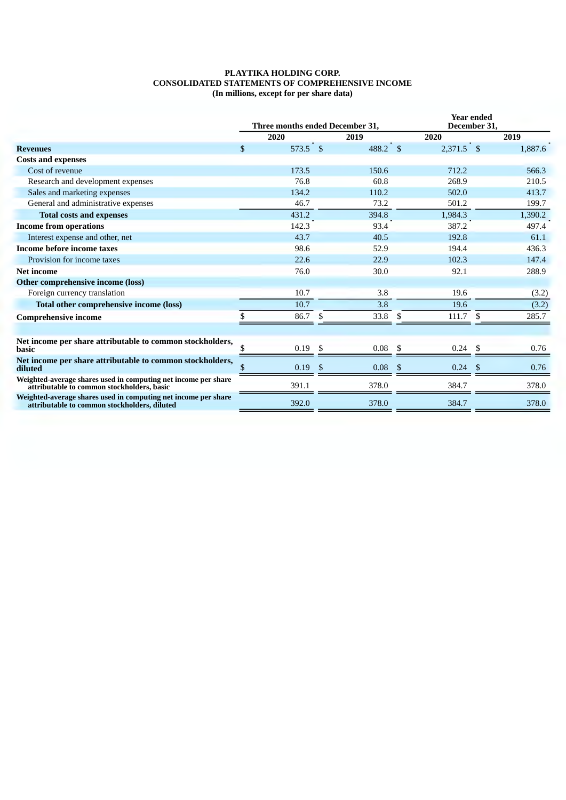#### **PLAYTIKA HOLDING CORP. CONSOLIDATED STATEMENTS OF COMPREHENSIVE INCOME (In millions, except for per share data)**

|                                                                                                                | Three months ended December 31, |            |     |          |    | <b>Year ended</b><br>December 31, |               |         |  |
|----------------------------------------------------------------------------------------------------------------|---------------------------------|------------|-----|----------|----|-----------------------------------|---------------|---------|--|
|                                                                                                                |                                 | 2020       |     | 2019     |    | 2020                              |               | 2019    |  |
| <b>Revenues</b>                                                                                                | \$                              | $573.5$ \$ |     | 488.2 \$ |    | $2,371.5$ \$                      |               | 1,887.6 |  |
| <b>Costs and expenses</b>                                                                                      |                                 |            |     |          |    |                                   |               |         |  |
| Cost of revenue                                                                                                |                                 | 173.5      |     | 150.6    |    | 712.2                             |               | 566.3   |  |
| Research and development expenses                                                                              |                                 | 76.8       |     | 60.8     |    | 268.9                             |               | 210.5   |  |
| Sales and marketing expenses                                                                                   |                                 | 134.2      |     | 110.2    |    | 502.0                             |               | 413.7   |  |
| General and administrative expenses                                                                            |                                 | 46.7       |     | 73.2     |    | 501.2                             |               | 199.7   |  |
| <b>Total costs and expenses</b>                                                                                |                                 | 431.2      |     | 394.8    |    | 1,984.3                           |               | 1,390.2 |  |
| <b>Income from operations</b>                                                                                  |                                 | 142.3      |     | 93.4     |    | 387.2                             |               | 497.4   |  |
| Interest expense and other, net                                                                                |                                 | 43.7       |     | 40.5     |    | 192.8                             |               | 61.1    |  |
| Income before income taxes                                                                                     |                                 | 98.6       |     | 52.9     |    | 194.4                             |               | 436.3   |  |
| Provision for income taxes                                                                                     |                                 | 22.6       |     | 22.9     |    | 102.3                             |               | 147.4   |  |
| Net income                                                                                                     |                                 | 76.0       |     | 30.0     |    | 92.1                              |               | 288.9   |  |
| Other comprehensive income (loss)                                                                              |                                 |            |     |          |    |                                   |               |         |  |
| Foreign currency translation                                                                                   |                                 | 10.7       |     | 3.8      |    | 19.6                              |               | (3.2)   |  |
| Total other comprehensive income (loss)                                                                        |                                 | 10.7       |     | 3.8      |    | 19.6                              |               | (3.2)   |  |
| <b>Comprehensive income</b>                                                                                    |                                 | 86.7       | £.  | 33.8     | -8 | 111.7                             | -S            | 285.7   |  |
|                                                                                                                |                                 |            |     |          |    |                                   |               |         |  |
| Net income per share attributable to common stockholders,<br>basic                                             |                                 | 0.19       | \$  | 0.08     |    | 0.24                              | -S            | 0.76    |  |
| Net income per share attributable to common stockholders,<br>diluted                                           | -S                              | 0.19       | -\$ | 0.08     | \$ | 0.24                              | <sup>\$</sup> | 0.76    |  |
| Weighted-average shares used in computing net income per share<br>attributable to common stockholders, basic   |                                 | 391.1      |     | 378.0    |    | 384.7                             |               | 378.0   |  |
| Weighted-average shares used in computing net income per share<br>attributable to common stockholders, diluted |                                 | 392.0      |     | 378.0    |    | 384.7                             |               | 378.0   |  |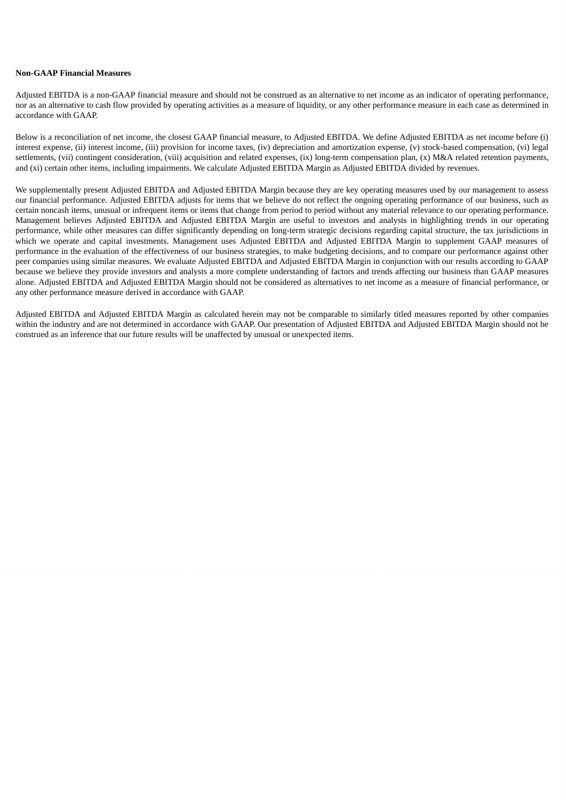#### **Non-GAAP Financial Measures**

 Adjusted EBITDA is a non-GAAP financial measure and should not be construed as an alternative to net income as an indicator of operating performance, nor as an alternative to cash flow provided by operating activities as a measure of liquidity, or any other performance measure in each case as determined in accordance with GAAP.

 Below is a reconciliation of net income, the closest GAAP financial measure, to Adjusted EBITDA. We define Adjusted EBITDA as net income before (i) interest expense, (ii) interest income, (iii) provision for income taxes, (iv) depreciation and amortization expense, (v) stock-based compensation, (vi) legal settlements, (vii) contingent consideration, (viii) acquisition and related expenses, (ix) long-term compensation plan, (x) M&A related retention payments, and (xi) certain other items, including impairments. We calculate Adjusted EBITDA Margin as Adjusted EBITDA divided by revenues.

 We supplementally present Adjusted EBITDA and Adjusted EBITDA Margin because they are key operating measures used by our management to assess our financial performance. Adjusted EBITDA adjusts for items that we believe do not reflect the ongoing operating performance of our business, such as certain noncash items, unusual or infrequent items or items that change from period to period without any material relevance to our operating performance. Management believes Adjusted EBITDA and Adjusted EBITDA Margin are useful to investors and analysts in highlighting trends in our operating performance, while other measures can differ significantly depending on long-term strategic decisions regarding capital structure, the tax jurisdictions in which we operate and capital investments. Management uses Adjusted EBITDA and Adjusted EBITDA Margin to supplement GAAP measures of performance in the evaluation of the effectiveness of our business strategies, to make budgeting decisions, and to compare our performance against other peer companies using similar measures. We evaluate Adjusted EBITDA and Adjusted EBITDA Margin in conjunction with our results according to GAAP because we believe they provide investors and analysts a more complete understanding of factors and trends affecting our business than GAAP measures alone. Adjusted EBITDA and Adjusted EBITDA Margin should not be considered as alternatives to net income as a measure of financial performance, or any other performance measure derived in accordance with GAAP.

 Adjusted EBITDA and Adjusted EBITDA Margin as calculated herein may not be comparable to similarly titled measures reported by other companies within the industry and are not determined in accordance with GAAP. Our presentation of Adjusted EBITDA and Adjusted EBITDA Margin should not be construed as an inference that our future results will be unaffected by unusual or unexpected items.